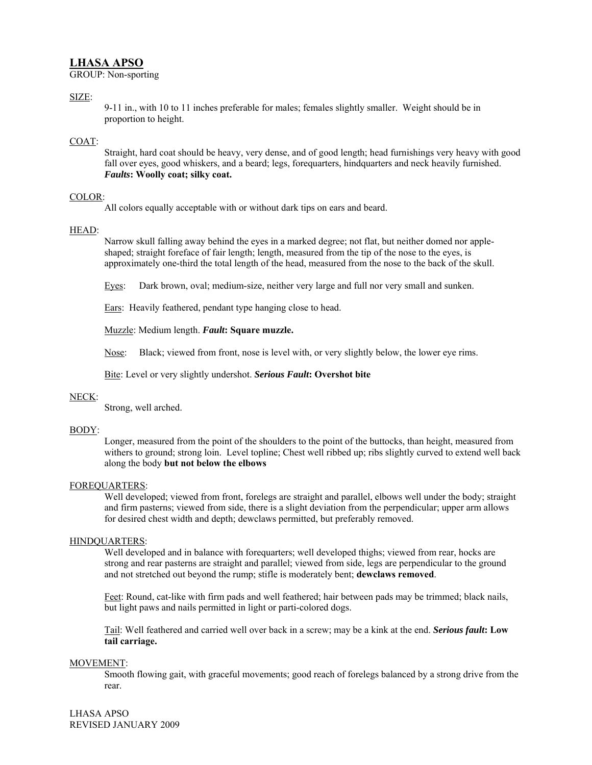# **LHASA APSO**

GROUP: Non-sporting

## SIZE:

9-11 in., with 10 to 11 inches preferable for males; females slightly smaller. Weight should be in proportion to height.

## COAT:

Straight, hard coat should be heavy, very dense, and of good length; head furnishings very heavy with good fall over eyes, good whiskers, and a beard; legs, forequarters, hindquarters and neck heavily furnished. *Faults***: Woolly coat; silky coat.** 

## COLOR:

All colors equally acceptable with or without dark tips on ears and beard.

### HEAD:

Narrow skull falling away behind the eyes in a marked degree; not flat, but neither domed nor appleshaped; straight foreface of fair length; length, measured from the tip of the nose to the eyes, is approximately one-third the total length of the head, measured from the nose to the back of the skull.

Eyes: Dark brown, oval; medium-size, neither very large and full nor very small and sunken.

Ears: Heavily feathered, pendant type hanging close to head.

Muzzle: Medium length. *Fault***: Square muzzle.** 

Nose: Black; viewed from front, nose is level with, or very slightly below, the lower eye rims.

Bite: Level or very slightly undershot. *Serious Fault***: Overshot bite** 

### NECK:

Strong, well arched.

### BODY:

Longer, measured from the point of the shoulders to the point of the buttocks, than height, measured from withers to ground; strong loin. Level topline; Chest well ribbed up; ribs slightly curved to extend well back along the body **but not below the elbows** 

### FOREQUARTERS:

Well developed; viewed from front, forelegs are straight and parallel, elbows well under the body; straight and firm pasterns; viewed from side, there is a slight deviation from the perpendicular; upper arm allows for desired chest width and depth; dewclaws permitted, but preferably removed.

### HINDQUARTERS:

Well developed and in balance with forequarters; well developed thighs; viewed from rear, hocks are strong and rear pasterns are straight and parallel; viewed from side, legs are perpendicular to the ground and not stretched out beyond the rump; stifle is moderately bent; **dewclaws removed**.

Feet: Round, cat-like with firm pads and well feathered; hair between pads may be trimmed; black nails, but light paws and nails permitted in light or parti-colored dogs.

Tail: Well feathered and carried well over back in a screw; may be a kink at the end. *Serious fault***: Low tail carriage.** 

#### MOVEMENT:

Smooth flowing gait, with graceful movements; good reach of forelegs balanced by a strong drive from the rear.